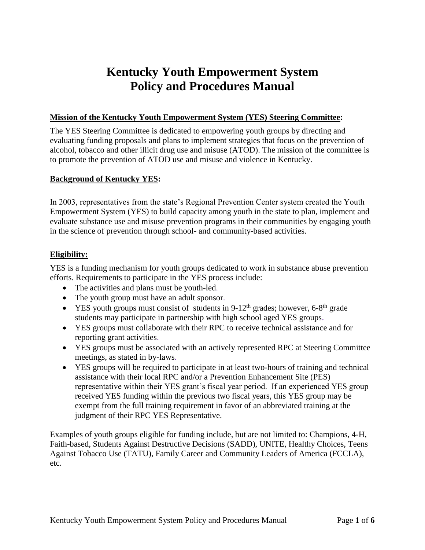# **Kentucky Youth Empowerment System Policy and Procedures Manual**

# **Mission of the Kentucky Youth Empowerment System (YES) Steering Committee:**

The YES Steering Committee is dedicated to empowering youth groups by directing and evaluating funding proposals and plans to implement strategies that focus on the prevention of alcohol, tobacco and other illicit drug use and misuse (ATOD). The mission of the committee is to promote the prevention of ATOD use and misuse and violence in Kentucky.

# **Background of Kentucky YES:**

In 2003, representatives from the state's Regional Prevention Center system created the Youth Empowerment System (YES) to build capacity among youth in the state to plan, implement and evaluate substance use and misuse prevention programs in their communities by engaging youth in the science of prevention through school- and community-based activities.

# **Eligibility:**

YES is a funding mechanism for youth groups dedicated to work in substance abuse prevention efforts. Requirements to participate in the YES process include:

- The activities and plans must be youth-led.
- The youth group must have an adult sponsor.
- YES youth groups must consist of students in  $9-12^{th}$  grades; however, 6-8<sup>th</sup> grade students may participate in partnership with high school aged YES groups.
- YES groups must collaborate with their RPC to receive technical assistance and for reporting grant activities.
- YES groups must be associated with an actively represented RPC at Steering Committee meetings, as stated in by-laws.
- YES groups will be required to participate in at least two-hours of training and technical assistance with their local RPC and/or a Prevention Enhancement Site (PES) representative within their YES grant's fiscal year period. If an experienced YES group received YES funding within the previous two fiscal years, this YES group may be exempt from the full training requirement in favor of an abbreviated training at the judgment of their RPC YES Representative.

Examples of youth groups eligible for funding include, but are not limited to: Champions, 4-H, Faith-based, Students Against Destructive Decisions (SADD), UNITE, Healthy Choices, Teens Against Tobacco Use (TATU), Family Career and Community Leaders of America (FCCLA), etc.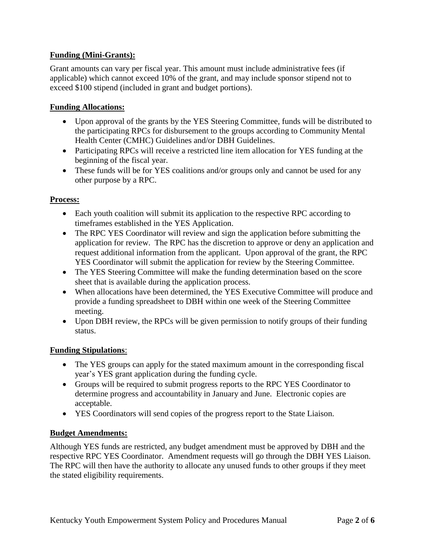# **Funding (Mini-Grants):**

Grant amounts can vary per fiscal year. This amount must include administrative fees (if applicable) which cannot exceed 10% of the grant, and may include sponsor stipend not to exceed \$100 stipend (included in grant and budget portions).

### **Funding Allocations:**

- Upon approval of the grants by the YES Steering Committee, funds will be distributed to the participating RPCs for disbursement to the groups according to Community Mental Health Center (CMHC) Guidelines and/or DBH Guidelines.
- Participating RPCs will receive a restricted line item allocation for YES funding at the beginning of the fiscal year.
- These funds will be for YES coalitions and/or groups only and cannot be used for any other purpose by a RPC.

#### **Process:**

- Each youth coalition will submit its application to the respective RPC according to timeframes established in the YES Application.
- The RPC YES Coordinator will review and sign the application before submitting the application for review. The RPC has the discretion to approve or deny an application and request additional information from the applicant. Upon approval of the grant, the RPC YES Coordinator will submit the application for review by the Steering Committee.
- The YES Steering Committee will make the funding determination based on the score sheet that is available during the application process.
- When allocations have been determined, the YES Executive Committee will produce and provide a funding spreadsheet to DBH within one week of the Steering Committee meeting.
- Upon DBH review, the RPCs will be given permission to notify groups of their funding status.

#### **Funding Stipulations**:

- The YES groups can apply for the stated maximum amount in the corresponding fiscal year's YES grant application during the funding cycle.
- Groups will be required to submit progress reports to the RPC YES Coordinator to determine progress and accountability in January and June. Electronic copies are acceptable.
- YES Coordinators will send copies of the progress report to the State Liaison.

#### **Budget Amendments:**

Although YES funds are restricted, any budget amendment must be approved by DBH and the respective RPC YES Coordinator. Amendment requests will go through the DBH YES Liaison. The RPC will then have the authority to allocate any unused funds to other groups if they meet the stated eligibility requirements.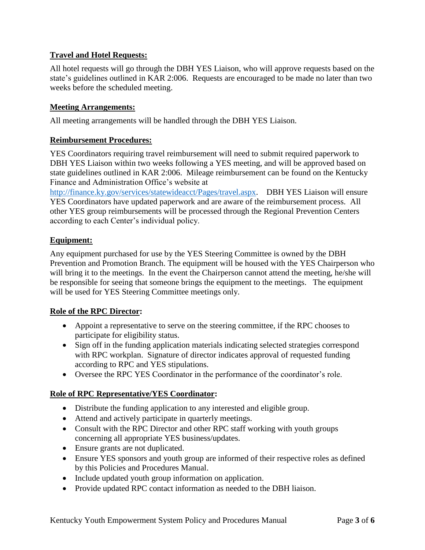# **Travel and Hotel Requests:**

All hotel requests will go through the DBH YES Liaison, who will approve requests based on the state's guidelines outlined in KAR 2:006. Requests are encouraged to be made no later than two weeks before the scheduled meeting.

#### **Meeting Arrangements:**

All meeting arrangements will be handled through the DBH YES Liaison.

### **Reimbursement Procedures:**

YES Coordinators requiring travel reimbursement will need to submit required paperwork to DBH YES Liaison within two weeks following a YES meeting, and will be approved based on state guidelines outlined in KAR 2:006. Mileage reimbursement can be found on the Kentucky Finance and Administration Office's website at

[http://finance.ky.gov/services/statewideacct/Pages/travel.aspx.](http://finance.ky.gov/services/statewideacct/Pages/travel.aspx) DBH YES Liaison will ensure YES Coordinators have updated paperwork and are aware of the reimbursement process. All other YES group reimbursements will be processed through the Regional Prevention Centers according to each Center's individual policy.

#### **Equipment:**

Any equipment purchased for use by the YES Steering Committee is owned by the DBH Prevention and Promotion Branch. The equipment will be housed with the YES Chairperson who will bring it to the meetings. In the event the Chairperson cannot attend the meeting, he/she will be responsible for seeing that someone brings the equipment to the meetings. The equipment will be used for YES Steering Committee meetings only.

# **Role of the RPC Director:**

- Appoint a representative to serve on the steering committee, if the RPC chooses to participate for eligibility status.
- Sign off in the funding application materials indicating selected strategies correspond with RPC workplan. Signature of director indicates approval of requested funding according to RPC and YES stipulations.
- Oversee the RPC YES Coordinator in the performance of the coordinator's role.

# **Role of RPC Representative/YES Coordinator:**

- Distribute the funding application to any interested and eligible group.
- Attend and actively participate in quarterly meetings.
- Consult with the RPC Director and other RPC staff working with youth groups concerning all appropriate YES business/updates.
- Ensure grants are not duplicated.
- Ensure YES sponsors and youth group are informed of their respective roles as defined by this Policies and Procedures Manual.
- Include updated youth group information on application.
- Provide updated RPC contact information as needed to the DBH liaison.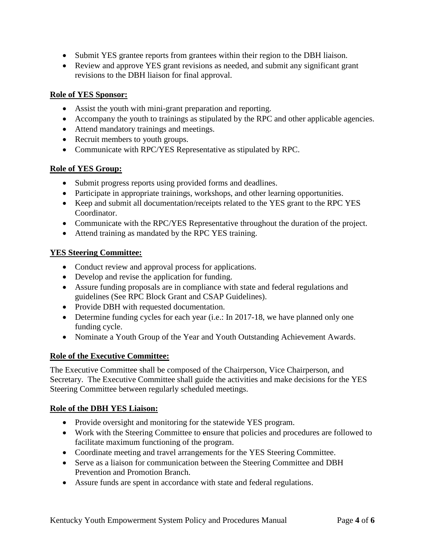- Submit YES grantee reports from grantees within their region to the DBH liaison.
- Review and approve YES grant revisions as needed, and submit any significant grant revisions to the DBH liaison for final approval.

# **Role of YES Sponsor:**

- Assist the youth with mini-grant preparation and reporting.
- Accompany the youth to trainings as stipulated by the RPC and other applicable agencies.
- Attend mandatory trainings and meetings.
- Recruit members to youth groups.
- Communicate with RPC/YES Representative as stipulated by RPC.

# **Role of YES Group:**

- Submit progress reports using provided forms and deadlines.
- Participate in appropriate trainings, workshops, and other learning opportunities.
- Keep and submit all documentation/receipts related to the YES grant to the RPC YES Coordinator.
- Communicate with the RPC/YES Representative throughout the duration of the project.
- Attend training as mandated by the RPC YES training.

# **YES Steering Committee:**

- Conduct review and approval process for applications.
- Develop and revise the application for funding.
- Assure funding proposals are in compliance with state and federal regulations and guidelines (See RPC Block Grant and CSAP Guidelines).
- Provide DBH with requested documentation.
- Determine funding cycles for each year (i.e.: In 2017-18, we have planned only one funding cycle.
- Nominate a Youth Group of the Year and Youth Outstanding Achievement Awards.

# **Role of the Executive Committee:**

The Executive Committee shall be composed of the Chairperson, Vice Chairperson, and Secretary. The Executive Committee shall guide the activities and make decisions for the YES Steering Committee between regularly scheduled meetings.

# **Role of the DBH YES Liaison:**

- Provide oversight and monitoring for the statewide YES program.
- Work with the Steering Committee to ensure that policies and procedures are followed to facilitate maximum functioning of the program.
- Coordinate meeting and travel arrangements for the YES Steering Committee.
- Serve as a liaison for communication between the Steering Committee and DBH Prevention and Promotion Branch.
- Assure funds are spent in accordance with state and federal regulations.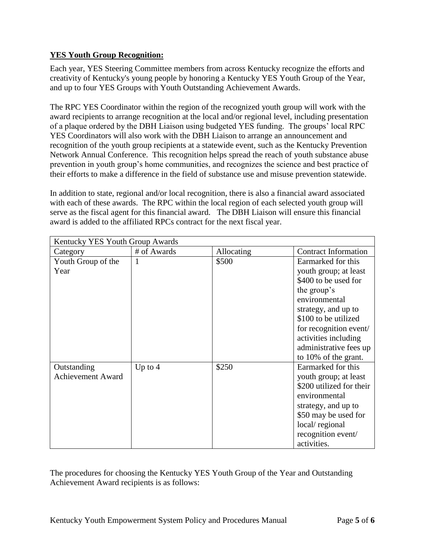# **YES Youth Group Recognition:**

Each year, YES Steering Committee members from across Kentucky recognize the efforts and creativity of Kentucky's young people by honoring a Kentucky YES Youth Group of the Year, and up to four YES Groups with Youth Outstanding Achievement Awards.

The RPC YES Coordinator within the region of the recognized youth group will work with the award recipients to arrange recognition at the local and/or regional level, including presentation of a plaque ordered by the DBH Liaison using budgeted YES funding. The groups' local RPC YES Coordinators will also work with the DBH Liaison to arrange an announcement and recognition of the youth group recipients at a statewide event, such as the Kentucky Prevention Network Annual Conference. This recognition helps spread the reach of youth substance abuse prevention in youth group's home communities, and recognizes the science and best practice of their efforts to make a difference in the field of substance use and misuse prevention statewide.

In addition to state, regional and/or local recognition, there is also a financial award associated with each of these awards. The RPC within the local region of each selected youth group will serve as the fiscal agent for this financial award. The DBH Liaison will ensure this financial award is added to the affiliated RPCs contract for the next fiscal year.

| Kentucky YES Youth Group Awards         |             |            |                                                                                                                                                                                                                                                        |
|-----------------------------------------|-------------|------------|--------------------------------------------------------------------------------------------------------------------------------------------------------------------------------------------------------------------------------------------------------|
| Category                                | # of Awards | Allocating | <b>Contract Information</b>                                                                                                                                                                                                                            |
| Youth Group of the<br>Year              | 1           | \$500      | Earmarked for this<br>youth group; at least<br>\$400 to be used for<br>the group's<br>environmental<br>strategy, and up to<br>\$100 to be utilized<br>for recognition event/<br>activities including<br>administrative fees up<br>to 10% of the grant. |
| Outstanding<br><b>Achievement Award</b> | Up to $4$   | \$250      | Earmarked for this<br>youth group; at least<br>\$200 utilized for their<br>environmental<br>strategy, and up to<br>\$50 may be used for<br>local/regional<br>recognition event/<br>activities.                                                         |

The procedures for choosing the Kentucky YES Youth Group of the Year and Outstanding Achievement Award recipients is as follows: